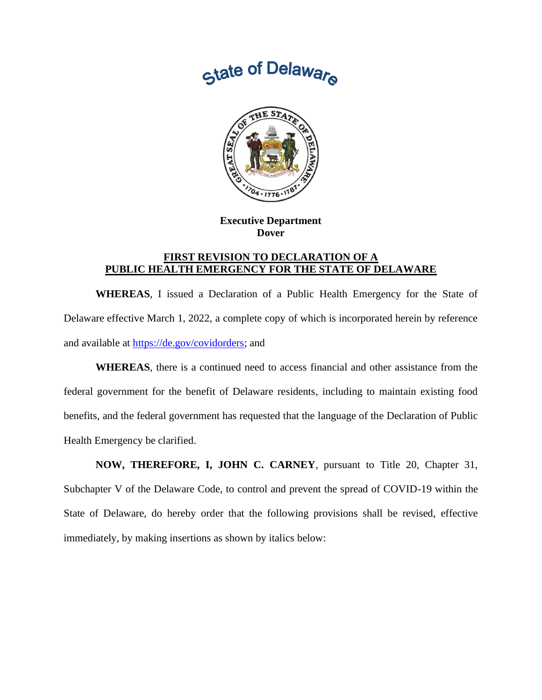



**Executive Department Dover**

## **FIRST REVISION TO DECLARATION OF A PUBLIC HEALTH EMERGENCY FOR THE STATE OF DELAWARE**

**WHEREAS**, I issued a Declaration of a Public Health Emergency for the State of Delaware effective March 1, 2022, a complete copy of which is incorporated herein by reference and available at [https://de.gov/covidorders;](https://de.gov/covidorders) and

**WHEREAS**, there is a continued need to access financial and other assistance from the federal government for the benefit of Delaware residents, including to maintain existing food benefits, and the federal government has requested that the language of the Declaration of Public Health Emergency be clarified.

**NOW, THEREFORE, I, JOHN C. CARNEY**, pursuant to Title 20, Chapter 31, Subchapter V of the Delaware Code, to control and prevent the spread of COVID-19 within the State of Delaware, do hereby order that the following provisions shall be revised, effective immediately, by making insertions as shown by italics below: